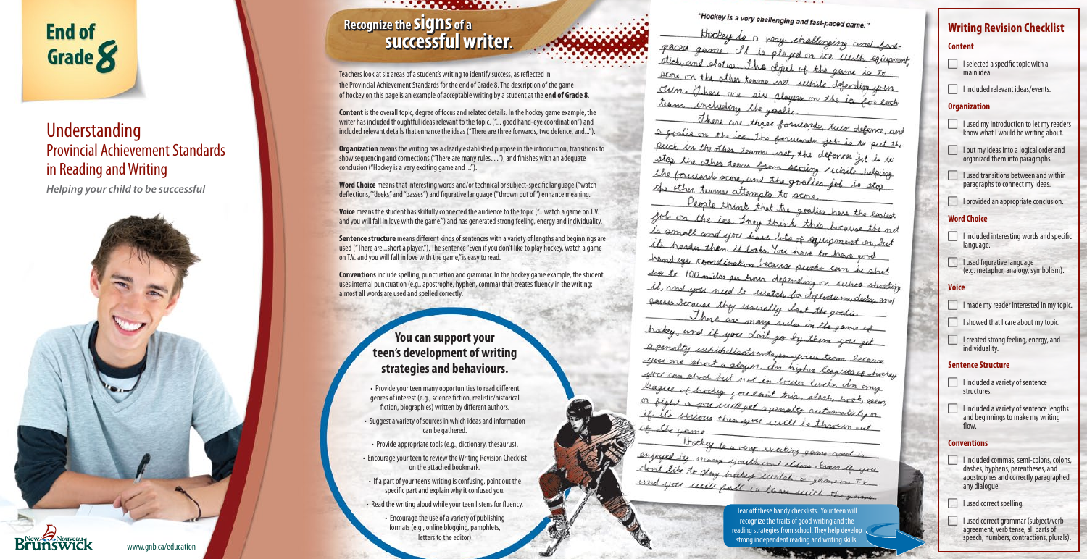*Helping your child to be successful*



# Understanding Provincial Achievement Standards in Reading and Writing



Teachers look at six areas of a student's writing to identify success, as reflected in the Provincial Achievement Standards for the end of Grade 8. The description of the game of hockey on this page is an example of acceptable writing by a student at the **end of Grade 8**

.

**Content** is the overall topic, degree of focus and related details. In the hockey game example, the writer has included thoughtful ideas relevant to the topic. ("... good hand-eye coordination") and included relevant details that enhance the ideas ("There are three forwards, two defence, and...").

**Sentence structure** means different kinds of sentences with a variety of lengths and beginnings are used ("There are...short a player."). The sentence "Even if you don't like to play hockey, watch a game on T.V. and you will fall in love with the game," is easy to read.

**Organization** means the writing has a clearly established purpose in the introduction, transitions to show sequencing and connections ("There are many rules..."), and finishes with an adequate conclusion ("Hockey is a very exciting game and ...").

**Word Choice** means that interesting words and/or technical or subject-specific language ("watch deflections," "deeks" and "passes") and figurative language ("thrown out of") enhance meaning.

**Voice** means the student has skilfully connected the audience to the topic ("...watch a game on T.V. and you will fall in love with the game.") and has generated strong feeling, energy and individuality.

> • Provide your teen many opportunities to read different genres of interest (e.g., science fiction, realistic/historical fiction, biographies) written by different authors.

> • If a part of your teen's writing is confusing, point out the specific part and explain why it confused you.

# **Recognize the signs of a Recognize the signs of a successful writer . successful writer .**

*<u> Alexandria de Sala</u>* 

"Hockey is a very challenging and fast-paced game." **Writing Revision Checklist** Hockey is a very challenging and fastpaced game It is played on ice usith equipment,<br>stick and etation. The object of the game is to **Content**  $\Box$  I selected a specific topic with a score on the other teams not ulhile defending your main idea. cum. There are aix players on the ice for each  $\Box$  I included relevant ideas/events. **Organization** There are three formands, two defence, and I used my introduction to let my readers a goalie on the ice. The formands, two defence, and<br>puck in the other teams not the los is to put the know what I would be writing about. Ruck in the other seams net, the defences job is to I put my ideas into a logical order and organized them into paragraphs. I used transitions between and within paragraphs to connect my ideas. Deople think that the goalis have the easiest **I provided an appropriate conclusion.** follow the ice They think this base the lastest **Word Choice**  $\Box$  I included interesting words and specific language. I used figurative language use to 100 miles per hour depending on subos shooting (e.g. metaphor, analogy, symbolism). **Voice** I made my reader interested in my topic. There are many suche the goalis. I I showed that I care about my topic. I created strong feeling, energy, and individuality. **Sentence Structure** I included a variety of sentence structures. I included a variety of sentence lengths and beginnings to make my writing flow **Conventions** clon't like to day haben unter a game on the I included commas, semi-colons, colons, dashes, hyphens, parentheses, and apostrophes and correctly paragraphed any dialogue. I used correct spelling. Tear off these handy checklists. Your teen will recognize the traits of good writing and the I used correct grammar (subject/verb reading strategies from school. They help develop agreement, verb tense, all parts of speech, numbers, contractions, plurals).strong independent reading and writing skills.

**Conventions** include spelling, punctuation and grammar. In the hockey game example, the student uses internal punctuation (e.g., apostrophe, hyphen, comma) that creates fluency in the writing; almost all words are used and spelled correctly.

## **You can support your teen's development of writing strategies and behaviours.**

• Suggest a variety of sources in which ideas and information can be gathered.

• Provide appropriate tools (e.g., dictionary, thesaurus).

• Encourage your teen to review the Writing Revision Checklist on the attached bookmark.

• Read the writing aloud while your teen listens for fluency.

• Encourage the use of a variety of publishing formats (e.g., online blogging, pamphlets, letters to the editor).

team including the goals. stop the other team from section under job is to the formands score, and the goalies job is stop the other teams attempts to score. is small and you have lots of equipment or but its harder than it looks . You have to have good hand eye condination because puche can be shot If and you need to unatch to depleasant subos shooting game because they usually beat the goalis. hockey, and it you don't go by them you get a penalty subschilisation to by them you get you are short a glayer In higher leagues of horses you am about but not in higher leagues of he league of brockey you can't trip, alash, hook, seen, a fight a you will get a penalty automaticly on if it's serious then you unit be thrown out of the yame Hockey is a very exciting game and in enjoyed by many youthund eldone been it you

Sand Louis Company David Martin